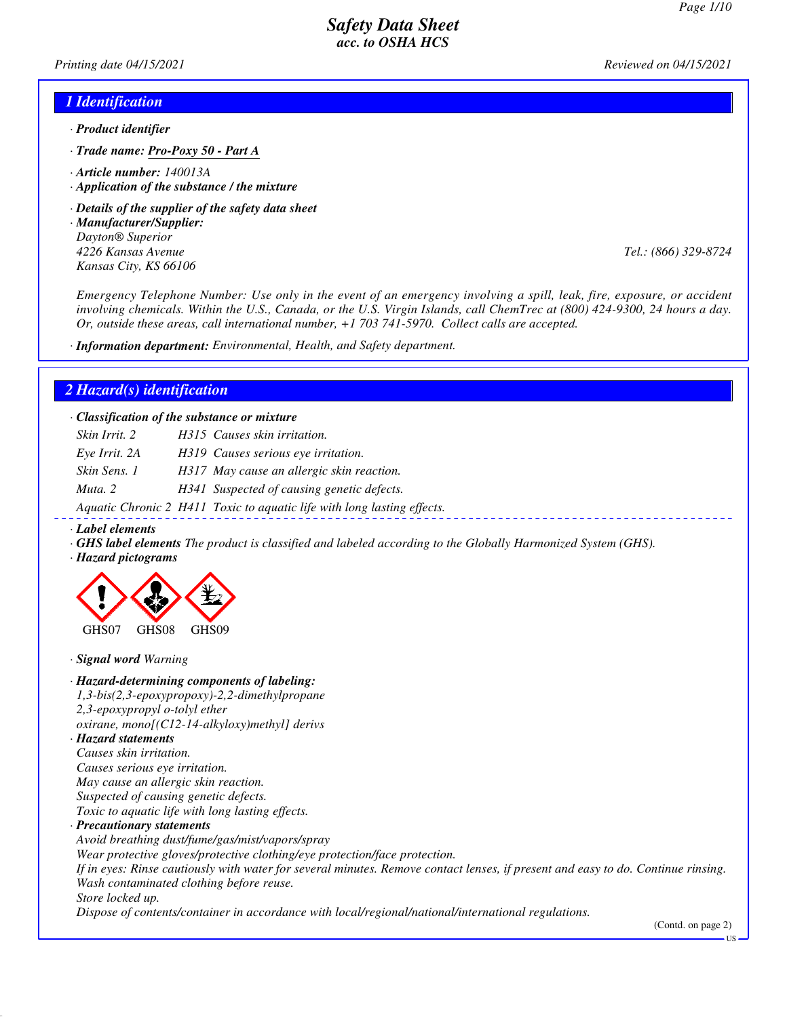*Printing date 04/15/2021 Reviewed on 04/15/2021*

#### *1 Identification*

- *· Product identifier*
- *· Trade name: Pro-Poxy 50 Part A*
- *· Article number: 140013A*
- *· Application of the substance / the mixture*
- *· Details of the supplier of the safety data sheet*
- *· Manufacturer/Supplier: Dayton® Superior 4226 Kansas Avenue Tel.: (866) 329-8724 Kansas City, KS 66106*

*Emergency Telephone Number: Use only in the event of an emergency involving a spill, leak, fire, exposure, or accident involving chemicals. Within the U.S., Canada, or the U.S. Virgin Islands, call ChemTrec at (800) 424-9300, 24 hours a day. Or, outside these areas, call international number, +1 703 741-5970. Collect calls are accepted.*

*· Information department: Environmental, Health, and Safety department.*

#### *2 Hazard(s) identification*

*· Classification of the substance or mixture*

| Skin Irrit. 2 | H315 Causes skin irritation.                                            |
|---------------|-------------------------------------------------------------------------|
| Eye Irrit. 2A | H319 Causes serious eye irritation.                                     |
| Skin Sens. 1  | H317 May cause an allergic skin reaction.                               |
| Muta, 2       | H341 Suspected of causing genetic defects.                              |
|               | Aquatic Chronic 2 H411 Toxic to aquatic life with long lasting effects. |

*· Label elements*

- *· GHS label elements The product is classified and labeled according to the Globally Harmonized System (GHS).*
- *· Hazard pictograms*



*· Signal word Warning*

# *· Hazard-determining components of labeling: 1,3-bis(2,3-epoxypropoxy)-2,2-dimethylpropane 2,3-epoxypropyl o-tolyl ether*

*oxirane, mono[(C12-14-alkyloxy)methyl] derivs · Hazard statements*

*Causes skin irritation. Causes serious eye irritation. May cause an allergic skin reaction. Suspected of causing genetic defects. Toxic to aquatic life with long lasting effects.*

*· Precautionary statements Avoid breathing dust/fume/gas/mist/vapors/spray Wear protective gloves/protective clothing/eye protection/face protection. If in eyes: Rinse cautiously with water for several minutes. Remove contact lenses, if present and easy to do. Continue rinsing. Wash contaminated clothing before reuse. Store locked up. Dispose of contents/container in accordance with local/regional/national/international regulations.*

(Contd. on page 2)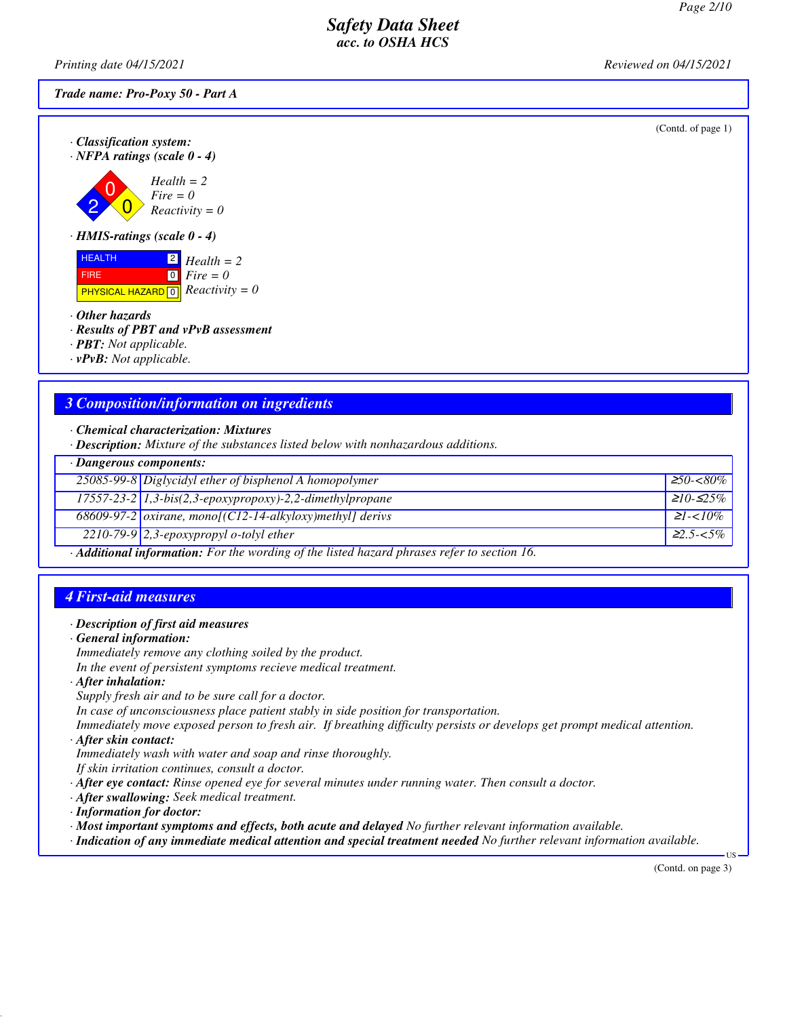(Contd. of page 1)

### *Safety Data Sheet acc. to OSHA HCS*

*Printing date 04/15/2021 Reviewed on 04/15/2021*

*Trade name: Pro-Poxy 50 - Part A*

*· Classification system: · NFPA ratings (scale 0 - 4)*

2  $\overline{0}$  $\overline{0}$ *Health = 2 Fire = 0 Reactivity = 0*

*· HMIS-ratings (scale 0 - 4)*

**HEALTH**  FIRE **PHYSICAL HAZARD** 0 2 *Health = 2*  $\boxed{0}$ *Fire = 0 Reactivity = 0*

*· Other hazards*

*· Results of PBT and vPvB assessment*

*· PBT: Not applicable.*

*· vPvB: Not applicable.*

## *3 Composition/information on ingredients*

*· Chemical characterization: Mixtures*

*· Description: Mixture of the substances listed below with nonhazardous additions.*

|                                                                                            | $\cdot$ Dangerous components:                                                |                   |  |
|--------------------------------------------------------------------------------------------|------------------------------------------------------------------------------|-------------------|--|
|                                                                                            | 25085-99-8 Diglycidyl ether of bisphenol A homopolymer                       | $\geq 50 - <80\%$ |  |
|                                                                                            | $17557-23-2$ 1,3-bis(2,3-epoxypropoxy)-2,2-dimethylpropane                   | $≥10-≤25%$        |  |
|                                                                                            | $\overline{68609-97-2}$ <i>oxirane, mono[(C12-14-alkyloxy)methyl] derivs</i> | $\geq l < 10\%$   |  |
|                                                                                            | $\sqrt{2210-79-9}$ 2,3-epoxypropyl o-tolyl ether                             | $22.5 - 5\%$      |  |
| Additional informations. Equator wouldno of the listed becaud physics upfeu to section 16. |                                                                              |                   |  |

*· Additional information: For the wording of the listed hazard phrases refer to section 16.*

## *4 First-aid measures*

#### *· Description of first aid measures*

*· General information:*

*Immediately remove any clothing soiled by the product.*

*In the event of persistent symptoms recieve medical treatment.*

- *· After inhalation:*
- *Supply fresh air and to be sure call for a doctor.*

*In case of unconsciousness place patient stably in side position for transportation.*

*Immediately move exposed person to fresh air. If breathing difficulty persists or develops get prompt medical attention.*

*· After skin contact:*

- *Immediately wash with water and soap and rinse thoroughly.*
- *If skin irritation continues, consult a doctor.*

*· After eye contact: Rinse opened eye for several minutes under running water. Then consult a doctor.*

- *· After swallowing: Seek medical treatment.*
- *· Information for doctor:*
- *· Most important symptoms and effects, both acute and delayed No further relevant information available.*
- *· Indication of any immediate medical attention and special treatment needed No further relevant information available.*

(Contd. on page 3)

US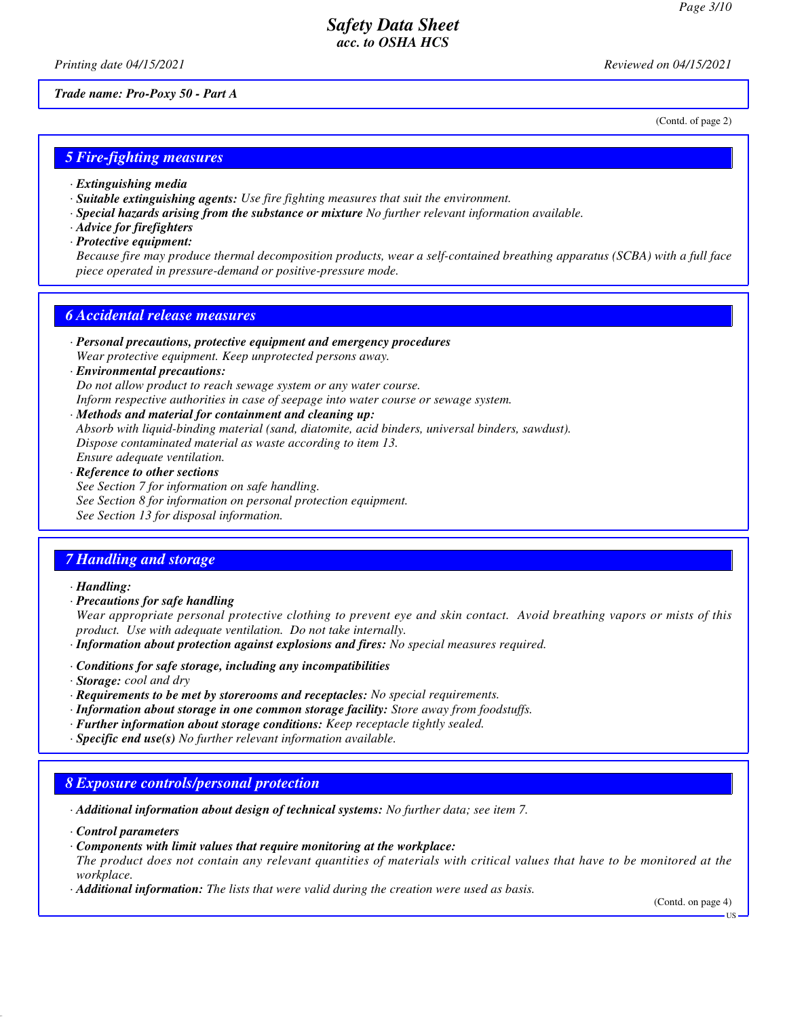(Contd. of page 2)

## *Safety Data Sheet acc. to OSHA HCS*

*Printing date 04/15/2021 Reviewed on 04/15/2021*

*Trade name: Pro-Poxy 50 - Part A*

*5 Fire-fighting measures*

- *· Extinguishing media*
- *· Suitable extinguishing agents: Use fire fighting measures that suit the environment.*
- *· Special hazards arising from the substance or mixture No further relevant information available.*
- *· Advice for firefighters*
- *· Protective equipment:*

*Because fire may produce thermal decomposition products, wear a self-contained breathing apparatus (SCBA) with a full face piece operated in pressure-demand or positive-pressure mode.*

# *6 Accidental release measures*

- *· Personal precautions, protective equipment and emergency procedures Wear protective equipment. Keep unprotected persons away.*
- *· Environmental precautions: Do not allow product to reach sewage system or any water course.*

*Inform respective authorities in case of seepage into water course or sewage system. · Methods and material for containment and cleaning up:*

*Absorb with liquid-binding material (sand, diatomite, acid binders, universal binders, sawdust). Dispose contaminated material as waste according to item 13. Ensure adequate ventilation.*

*· Reference to other sections See Section 7 for information on safe handling. See Section 8 for information on personal protection equipment. See Section 13 for disposal information.*

# *7 Handling and storage*

*· Handling:*

*· Precautions for safe handling Wear appropriate personal protective clothing to prevent eye and skin contact. Avoid breathing vapors or mists of this product. Use with adequate ventilation. Do not take internally.*

- *· Information about protection against explosions and fires: No special measures required.*
- *· Conditions for safe storage, including any incompatibilities*
- *· Storage: cool and dry*
- *· Requirements to be met by storerooms and receptacles: No special requirements.*
- *· Information about storage in one common storage facility: Store away from foodstuffs.*
- *· Further information about storage conditions: Keep receptacle tightly sealed.*
- *· Specific end use(s) No further relevant information available.*

# *8 Exposure controls/personal protection*

*· Additional information about design of technical systems: No further data; see item 7.*

- *· Control parameters*
- *· Components with limit values that require monitoring at the workplace: The product does not contain any relevant quantities of materials with critical values that have to be monitored at the workplace.*
- *· Additional information: The lists that were valid during the creation were used as basis.*

(Contd. on page 4)

US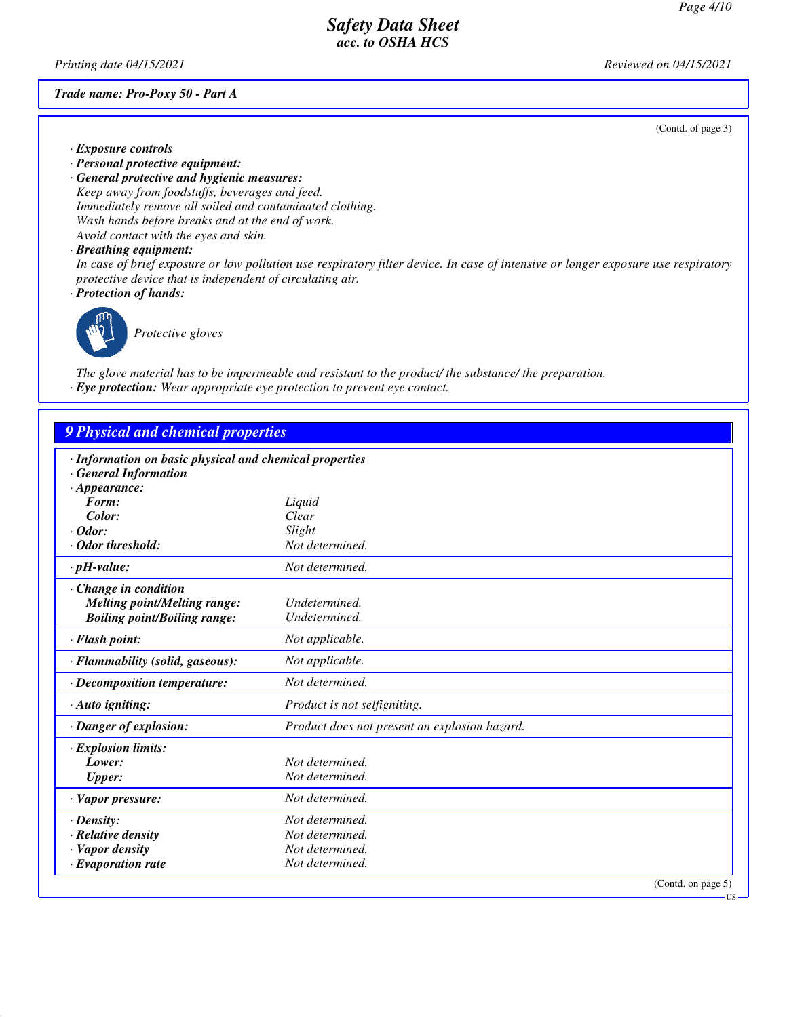*Printing date 04/15/2021 Reviewed on 04/15/2021*

#### *Trade name: Pro-Poxy 50 - Part A*

(Contd. of page 3)

- *· Exposure controls*
- *· Personal protective equipment:*
- *· General protective and hygienic measures: Keep away from foodstuffs, beverages and feed. Immediately remove all soiled and contaminated clothing. Wash hands before breaks and at the end of work. Avoid contact with the eyes and skin.*
- *· Breathing equipment:*

*In case of brief exposure or low pollution use respiratory filter device. In case of intensive or longer exposure use respiratory protective device that is independent of circulating air.*

*· Protection of hands:*



*Protective gloves*

*The glove material has to be impermeable and resistant to the product/ the substance/ the preparation. · Eye protection: Wear appropriate eye protection to prevent eye contact.*

### *9 Physical and chemical properties*

| · Information on basic physical and chemical properties |                                               |
|---------------------------------------------------------|-----------------------------------------------|
| · General Information                                   |                                               |
| $\cdot$ Appearance:                                     |                                               |
| Form:                                                   | Liquid                                        |
| Color:                                                  | Clear                                         |
| $\cdot$ Odor:                                           | Slight                                        |
| · Odor threshold:                                       | Not determined.                               |
| $\cdot$ pH-value:                                       | Not determined.                               |
| $\cdot$ Change in condition                             |                                               |
| <b>Melting point/Melting range:</b>                     | Undetermined.                                 |
| <b>Boiling point/Boiling range:</b>                     | Undetermined.                                 |
| · Flash point:                                          | Not applicable.                               |
| · Flammability (solid, gaseous):                        | Not applicable.                               |
| $\cdot$ Decomposition temperature:                      | Not determined.                               |
| $\cdot$ Auto igniting:                                  | Product is not selfigniting.                  |
| · Danger of explosion:                                  | Product does not present an explosion hazard. |
| $\cdot$ Explosion limits:                               |                                               |
| Lower:                                                  | Not determined.                               |
| <b>Upper:</b>                                           | Not determined.                               |
| $\cdot$ Vapor pressure:                                 | Not determined.                               |
| $\cdot$ Density:                                        | Not determined.                               |
| $\cdot$ Relative density                                | Not determined.                               |
| · Vapor density                                         | Not determined.                               |
| $\cdot$ Evaporation rate                                | Not determined.                               |
|                                                         | (Contd. on page 5)                            |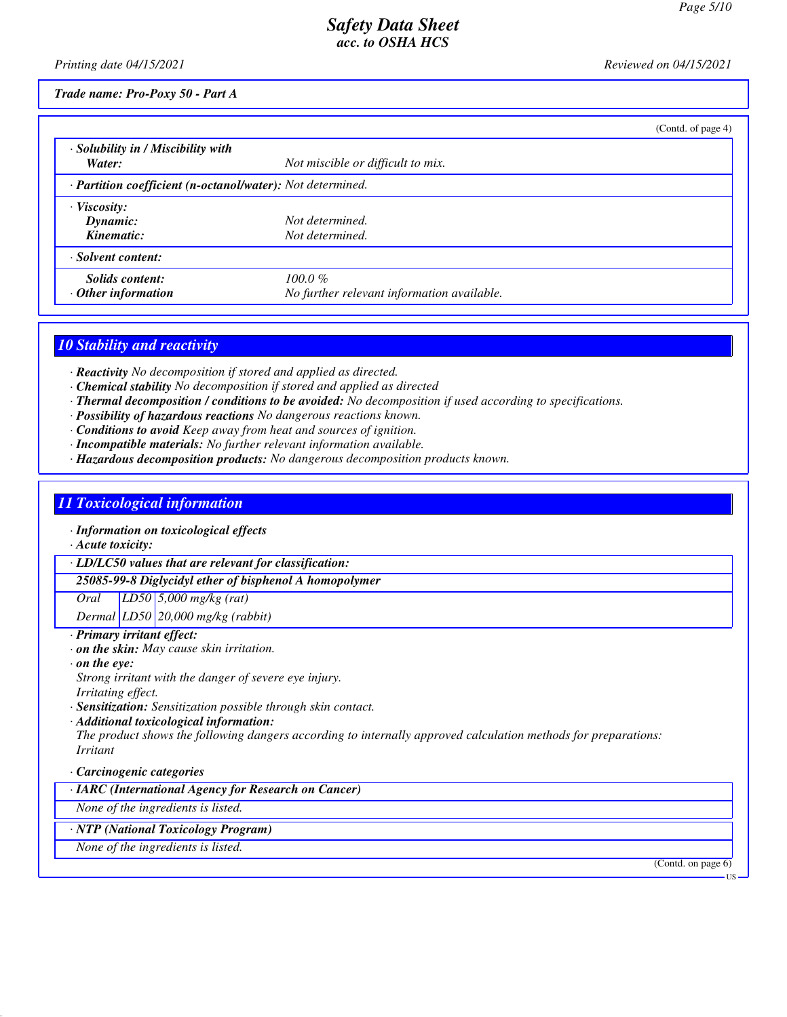*Printing date 04/15/2021 Reviewed on 04/15/2021*

*Trade name: Pro-Poxy 50 - Part A*

|                                                            |                                                          | (Contd. of page 4) |
|------------------------------------------------------------|----------------------------------------------------------|--------------------|
| · Solubility in / Miscibility with<br>Water:               | Not miscible or difficult to mix.                        |                    |
| · Partition coefficient (n-octanol/water): Not determined. |                                                          |                    |
| $\cdot$ Viscosity:<br>Dynamic:<br>Kinematic:               | Not determined.<br>Not determined.                       |                    |
| · Solvent content:                                         |                                                          |                    |
| Solids content:<br>$\cdot$ Other information               | $100.0 \%$<br>No further relevant information available. |                    |

### *10 Stability and reactivity*

*· Reactivity No decomposition if stored and applied as directed.*

- *· Chemical stability No decomposition if stored and applied as directed*
- *· Thermal decomposition / conditions to be avoided: No decomposition if used according to specifications.*
- *· Possibility of hazardous reactions No dangerous reactions known.*
- *· Conditions to avoid Keep away from heat and sources of ignition.*
- *· Incompatible materials: No further relevant information available.*
- *· Hazardous decomposition products: No dangerous decomposition products known.*

## *11 Toxicological information*

- *· Information on toxicological effects*
- *· Acute toxicity:*

*· LD/LC50 values that are relevant for classification:*

*25085-99-8 Diglycidyl ether of bisphenol A homopolymer*

*Oral LD50 5,000 mg/kg (rat)*

*Dermal LD50 20,000 mg/kg (rabbit)*

- *· Primary irritant effect:*
- *· on the skin: May cause skin irritation.*
- *· on the eye: Strong irritant with the danger of severe eye injury.*
- *Irritating effect.*
- *· Sensitization: Sensitization possible through skin contact.*
- *· Additional toxicological information: The product shows the following dangers according to internally approved calculation methods for preparations: Irritant*

#### *· Carcinogenic categories*

*· IARC (International Agency for Research on Cancer)*

*None of the ingredients is listed.*

### *· NTP (National Toxicology Program)*

*None of the ingredients is listed.*

(Contd. on page 6)

US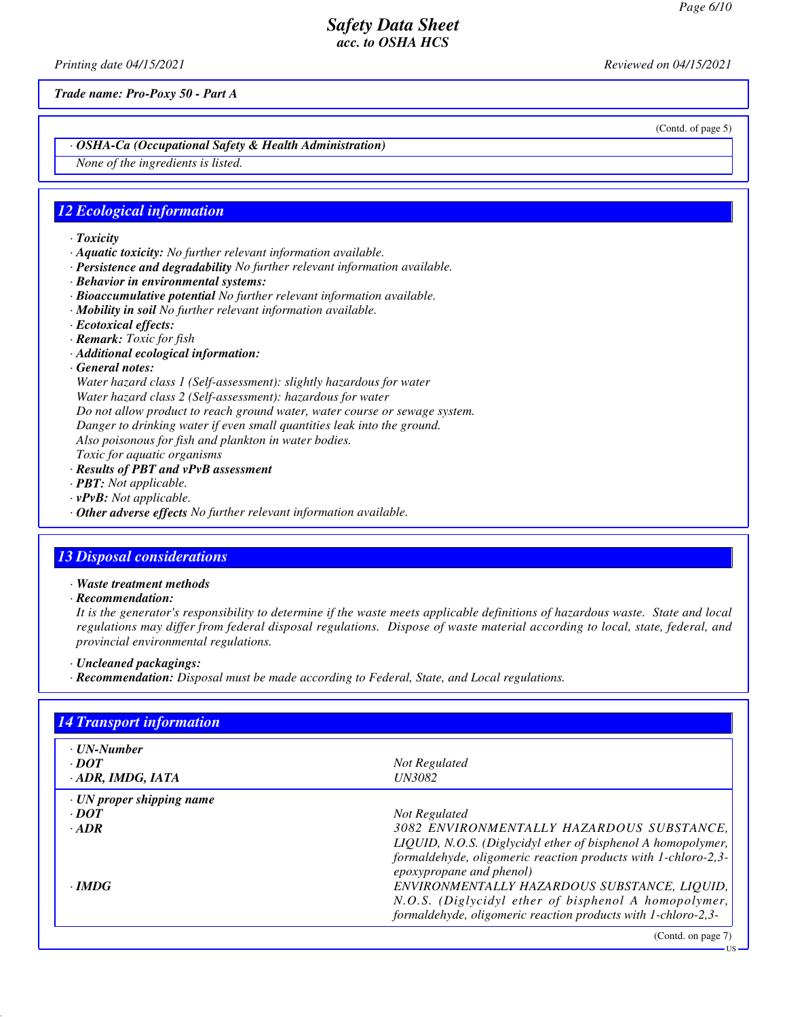*Printing date 04/15/2021 Reviewed on 04/15/2021*

*Trade name: Pro-Poxy 50 - Part A*

*· OSHA-Ca (Occupational Safety & Health Administration)*

*None of the ingredients is listed.*

### *12 Ecological information*

- *· Toxicity*
- *· Aquatic toxicity: No further relevant information available.*
- *· Persistence and degradability No further relevant information available.*
- *· Behavior in environmental systems:*
- *· Bioaccumulative potential No further relevant information available.*
- *· Mobility in soil No further relevant information available.*
- *· Ecotoxical effects:*
- *· Remark: Toxic for fish*
- *· Additional ecological information:*
- *· General notes:*

*Water hazard class 1 (Self-assessment): slightly hazardous for water*

*Water hazard class 2 (Self-assessment): hazardous for water*

*Do not allow product to reach ground water, water course or sewage system.*

*Danger to drinking water if even small quantities leak into the ground.*

*Also poisonous for fish and plankton in water bodies.*

*Toxic for aquatic organisms*

- *· Results of PBT and vPvB assessment*
- *· PBT: Not applicable.*
- *· vPvB: Not applicable.*
- *· Other adverse effects No further relevant information available.*

## *13 Disposal considerations*

*· Waste treatment methods*

*· Recommendation:*

*It is the generator's responsibility to determine if the waste meets applicable definitions of hazardous waste. State and local regulations may differ from federal disposal regulations. Dispose of waste material according to local, state, federal, and provincial environmental regulations.*

- *· Uncleaned packagings:*
- *· Recommendation: Disposal must be made according to Federal, State, and Local regulations.*

| <b>14 Transport information</b> |                                                               |
|---------------------------------|---------------------------------------------------------------|
| · UN-Number                     |                                                               |
| $\cdot$ DOT                     | Not Regulated                                                 |
| $\cdot$ ADR, IMDG, IATA         | <i>UN3082</i>                                                 |
| $\cdot$ UN proper shipping name |                                                               |
| $\cdot$ DOT                     | <b>Not Regulated</b>                                          |
| $\cdot$ ADR                     | 3082 ENVIRONMENTALLY HAZARDOUS SUBSTANCE,                     |
|                                 | LIQUID, N.O.S. (Diglycidyl ether of bisphenol A homopolymer,  |
|                                 | formaldehyde, oligomeric reaction products with 1-chloro-2,3- |
|                                 | epoxypropane and phenol)                                      |
| $\cdot$ IMDG                    | ENVIRONMENTALLY HAZARDOUS SUBSTANCE, LIOUID,                  |
|                                 | N.O.S. (Diglycidyl ether of bisphenol A homopolymer,          |
|                                 | formaldehyde, oligomeric reaction products with 1-chloro-2,3- |
|                                 | (Contd. on page 7)                                            |

(Contd. of page 5)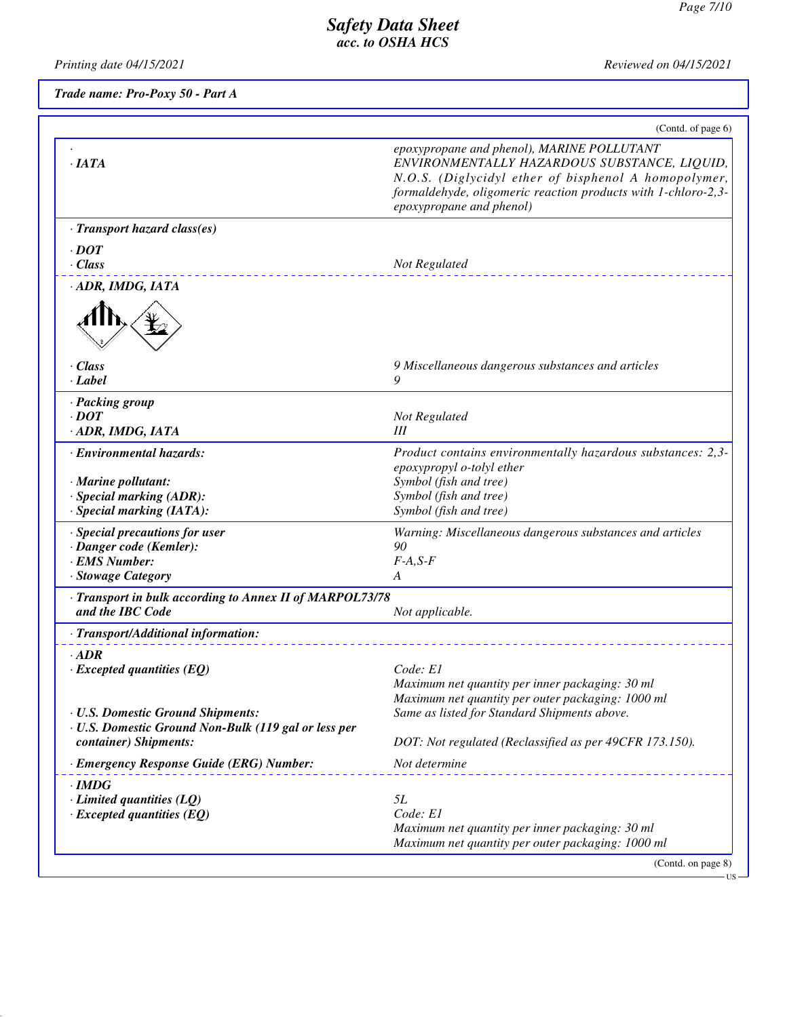*Printing date 04/15/2021 Reviewed on 04/15/2021*

*Trade name: Pro-Poxy 50 - Part A*

| epoxypropane and phenol), MARINE POLLUTANT<br>epoxypropane and phenol)<br>Not Regulated<br>9 Miscellaneous dangerous substances and articles<br>9<br>Not Regulated<br>III<br>epoxypropyl o-tolyl ether<br>Symbol (fish and tree)<br>Symbol (fish and tree)<br>Symbol (fish and tree)<br>Warning: Miscellaneous dangerous substances and articles<br>90<br>$F-A, S-F$<br>A<br>and the IBC Code<br>Not applicable.<br>Code: E1<br>Maximum net quantity per inner packaging: 30 ml<br>Maximum net quantity per outer packaging: 1000 ml<br>Same as listed for Standard Shipments above.<br>container) Shipments:<br>DOT: Not regulated (Reclassified as per 49CFR 173.150).<br>Not determine<br>5L<br>Code: El<br>Maximum net quantity per inner packaging: 30 ml<br>Maximum net quantity per outer packaging: 1000 ml |                                                     | (Contd. of page 6)                                                                                                                                                    |
|---------------------------------------------------------------------------------------------------------------------------------------------------------------------------------------------------------------------------------------------------------------------------------------------------------------------------------------------------------------------------------------------------------------------------------------------------------------------------------------------------------------------------------------------------------------------------------------------------------------------------------------------------------------------------------------------------------------------------------------------------------------------------------------------------------------------|-----------------------------------------------------|-----------------------------------------------------------------------------------------------------------------------------------------------------------------------|
| · Marine pollutant:<br>· Special marking (ADR):<br>· EMS Number:<br>· Stowage Category<br>· Transport in bulk according to Annex II of MARPOL73/78<br>· Transport/Additional information:<br>$\cdot$ ADR<br>$\cdot$ Excepted quantities (EQ)<br>· U.S. Domestic Ground Non-Bulk (119 gal or less per<br>· Emergency Response Guide (ERG) Number:<br>$\cdot$ IMDG<br>$\cdot$ Limited quantities (LQ)<br>$\cdot$ Excepted quantities (EQ)                                                                                                                                                                                                                                                                                                                                                                             | $\cdot$ IATA                                        | ENVIRONMENTALLY HAZARDOUS SUBSTANCE, LIQUID,<br>N.O.S. (Diglycidyl ether of bisphenol A homopolymer,<br>formaldehyde, oligomeric reaction products with 1-chloro-2,3- |
|                                                                                                                                                                                                                                                                                                                                                                                                                                                                                                                                                                                                                                                                                                                                                                                                                     | · Transport hazard class(es)                        |                                                                                                                                                                       |
|                                                                                                                                                                                                                                                                                                                                                                                                                                                                                                                                                                                                                                                                                                                                                                                                                     | $\cdot$ DOT                                         |                                                                                                                                                                       |
|                                                                                                                                                                                                                                                                                                                                                                                                                                                                                                                                                                                                                                                                                                                                                                                                                     | · Class                                             |                                                                                                                                                                       |
|                                                                                                                                                                                                                                                                                                                                                                                                                                                                                                                                                                                                                                                                                                                                                                                                                     | · ADR, IMDG, IATA                                   |                                                                                                                                                                       |
|                                                                                                                                                                                                                                                                                                                                                                                                                                                                                                                                                                                                                                                                                                                                                                                                                     | · Class<br>$-Label$                                 |                                                                                                                                                                       |
|                                                                                                                                                                                                                                                                                                                                                                                                                                                                                                                                                                                                                                                                                                                                                                                                                     | · Packing group<br>$\cdot$ DOT<br>· ADR, IMDG, IATA |                                                                                                                                                                       |
|                                                                                                                                                                                                                                                                                                                                                                                                                                                                                                                                                                                                                                                                                                                                                                                                                     | · Environmental hazards:                            | Product contains environmentally hazardous substances: 2,3-                                                                                                           |
|                                                                                                                                                                                                                                                                                                                                                                                                                                                                                                                                                                                                                                                                                                                                                                                                                     |                                                     |                                                                                                                                                                       |
|                                                                                                                                                                                                                                                                                                                                                                                                                                                                                                                                                                                                                                                                                                                                                                                                                     |                                                     |                                                                                                                                                                       |
|                                                                                                                                                                                                                                                                                                                                                                                                                                                                                                                                                                                                                                                                                                                                                                                                                     | · Special marking (IATA):                           |                                                                                                                                                                       |
|                                                                                                                                                                                                                                                                                                                                                                                                                                                                                                                                                                                                                                                                                                                                                                                                                     | · Special precautions for user                      |                                                                                                                                                                       |
|                                                                                                                                                                                                                                                                                                                                                                                                                                                                                                                                                                                                                                                                                                                                                                                                                     | · Danger code (Kemler):                             |                                                                                                                                                                       |
|                                                                                                                                                                                                                                                                                                                                                                                                                                                                                                                                                                                                                                                                                                                                                                                                                     |                                                     |                                                                                                                                                                       |
|                                                                                                                                                                                                                                                                                                                                                                                                                                                                                                                                                                                                                                                                                                                                                                                                                     |                                                     |                                                                                                                                                                       |
|                                                                                                                                                                                                                                                                                                                                                                                                                                                                                                                                                                                                                                                                                                                                                                                                                     |                                                     |                                                                                                                                                                       |
|                                                                                                                                                                                                                                                                                                                                                                                                                                                                                                                                                                                                                                                                                                                                                                                                                     |                                                     |                                                                                                                                                                       |
|                                                                                                                                                                                                                                                                                                                                                                                                                                                                                                                                                                                                                                                                                                                                                                                                                     |                                                     |                                                                                                                                                                       |
|                                                                                                                                                                                                                                                                                                                                                                                                                                                                                                                                                                                                                                                                                                                                                                                                                     |                                                     |                                                                                                                                                                       |
|                                                                                                                                                                                                                                                                                                                                                                                                                                                                                                                                                                                                                                                                                                                                                                                                                     |                                                     |                                                                                                                                                                       |
|                                                                                                                                                                                                                                                                                                                                                                                                                                                                                                                                                                                                                                                                                                                                                                                                                     |                                                     |                                                                                                                                                                       |
|                                                                                                                                                                                                                                                                                                                                                                                                                                                                                                                                                                                                                                                                                                                                                                                                                     | · U.S. Domestic Ground Shipments:                   |                                                                                                                                                                       |
|                                                                                                                                                                                                                                                                                                                                                                                                                                                                                                                                                                                                                                                                                                                                                                                                                     |                                                     |                                                                                                                                                                       |
|                                                                                                                                                                                                                                                                                                                                                                                                                                                                                                                                                                                                                                                                                                                                                                                                                     |                                                     |                                                                                                                                                                       |
|                                                                                                                                                                                                                                                                                                                                                                                                                                                                                                                                                                                                                                                                                                                                                                                                                     |                                                     |                                                                                                                                                                       |
|                                                                                                                                                                                                                                                                                                                                                                                                                                                                                                                                                                                                                                                                                                                                                                                                                     |                                                     |                                                                                                                                                                       |
|                                                                                                                                                                                                                                                                                                                                                                                                                                                                                                                                                                                                                                                                                                                                                                                                                     |                                                     |                                                                                                                                                                       |
|                                                                                                                                                                                                                                                                                                                                                                                                                                                                                                                                                                                                                                                                                                                                                                                                                     |                                                     |                                                                                                                                                                       |
|                                                                                                                                                                                                                                                                                                                                                                                                                                                                                                                                                                                                                                                                                                                                                                                                                     |                                                     |                                                                                                                                                                       |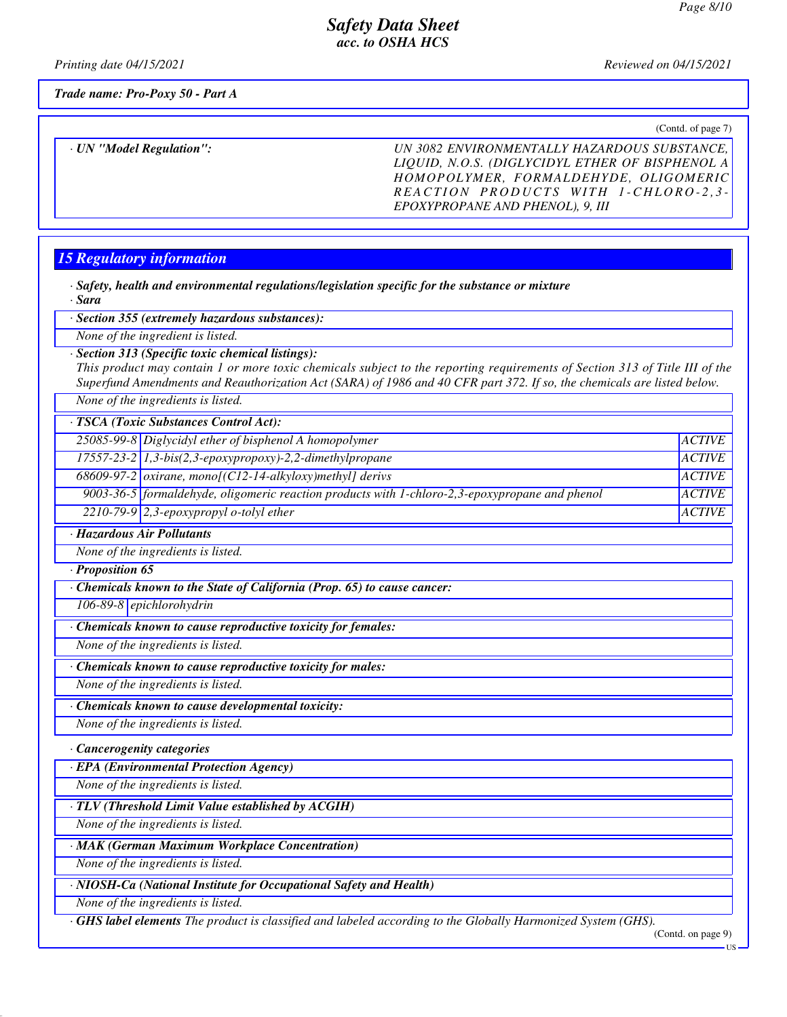*Printing date 04/15/2021 Reviewed on 04/15/2021*

*Trade name: Pro-Poxy 50 - Part A*

(Contd. of page 7)

*· UN "Model Regulation": UN 3082 ENVIRONMENTALLY HAZARDOUS SUBSTANCE, LIQUID, N.O.S. (DIGLYCIDYL ETHER OF BISPHENOL A HOMOPOLYMER, FORMALDEHYDE, OLIGOMERIC R E A C T I O N P R O D U C T S W I T H 1 - C H L O R O - 2 , 3 - EPOXYPROPANE AND PHENOL), 9, III*

## *15 Regulatory information*

*· Safety, health and environmental regulations/legislation specific for the substance or mixture · Sara*

*· Section 355 (extremely hazardous substances):*

*None of the ingredient is listed.*

#### *· Section 313 (Specific toxic chemical listings):*

*This product may contain 1 or more toxic chemicals subject to the reporting requirements of Section 313 of Title III of the Superfund Amendments and Reauthorization Act (SARA) of 1986 and 40 CFR part 372. If so, the chemicals are listed below.*

*None of the ingredients is listed.*

*· TSCA (Toxic Substances Control Act):*

25085-99-8 Diglycidyl ether of bisphenol A homopolymer *ACTIVE 17557-23-2 1,3-bis(2,3-epoxypropoxy)-2,2-dimethylpropane ACTIVE 68609-97-2 oxirane, mono[(C12-14-alkyloxy)methyl] derivs ACTIVE 9003-36-5 formaldehyde, oligomeric reaction products with 1-chloro-2,3-epoxypropane and phenol ACTIVE 2210-79-9 2,3-epoxypropyl o-tolyl ether ACTIVE*

*· Hazardous Air Pollutants*

*None of the ingredients is listed.*

*· Proposition 65*

*· Chemicals known to the State of California (Prop. 65) to cause cancer:*

*106-89-8 epichlorohydrin*

*· Chemicals known to cause reproductive toxicity for females:*

*None of the ingredients is listed.*

*· Chemicals known to cause reproductive toxicity for males:*

*None of the ingredients is listed.*

*· Chemicals known to cause developmental toxicity:*

*None of the ingredients is listed.*

*· Cancerogenity categories*

*· EPA (Environmental Protection Agency)*

*None of the ingredients is listed.*

*· TLV (Threshold Limit Value established by ACGIH)*

*None of the ingredients is listed.*

*· MAK (German Maximum Workplace Concentration)*

*None of the ingredients is listed.*

*· NIOSH-Ca (National Institute for Occupational Safety and Health)*

*None of the ingredients is listed.*

*· GHS label elements The product is classified and labeled according to the Globally Harmonized System (GHS).*

(Contd. on page 9)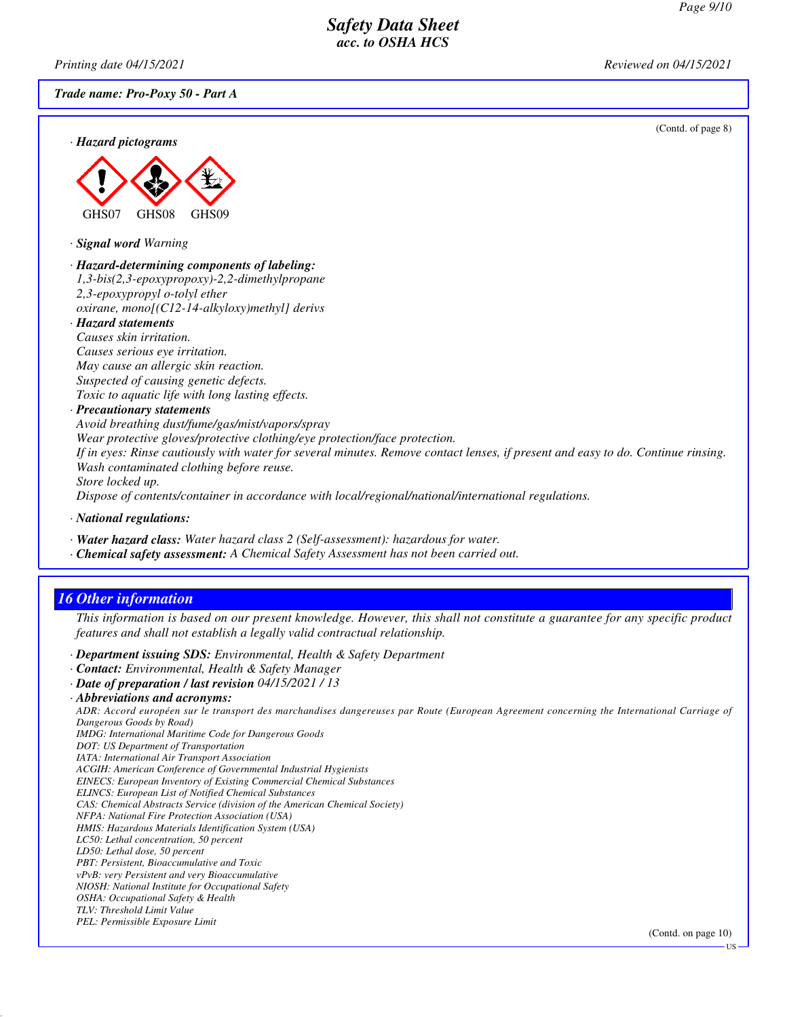*Printing date 04/15/2021 Reviewed on 04/15/2021*

*Trade name: Pro-Poxy 50 - Part A*

(Contd. of page 8)





*· Signal word Warning*

*· Hazard-determining components of labeling: 1,3-bis(2,3-epoxypropoxy)-2,2-dimethylpropane 2,3-epoxypropyl o-tolyl ether oxirane, mono[(C12-14-alkyloxy)methyl] derivs*

*· Hazard statements Causes skin irritation. Causes serious eye irritation. May cause an allergic skin reaction. Suspected of causing genetic defects. Toxic to aquatic life with long lasting effects.*

*· Precautionary statements*

*Avoid breathing dust/fume/gas/mist/vapors/spray*

*Wear protective gloves/protective clothing/eye protection/face protection.*

*If in eyes: Rinse cautiously with water for several minutes. Remove contact lenses, if present and easy to do. Continue rinsing. Wash contaminated clothing before reuse.*

*Store locked up.*

*Dispose of contents/container in accordance with local/regional/national/international regulations.*

*· National regulations:*

*· Water hazard class: Water hazard class 2 (Self-assessment): hazardous for water.*

*· Chemical safety assessment: A Chemical Safety Assessment has not been carried out.*

## *16 Other information*

*This information is based on our present knowledge. However, this shall not constitute a guarantee for any specific product features and shall not establish a legally valid contractual relationship.*

*· Department issuing SDS: Environmental, Health & Safety Department*

*· Contact: Environmental, Health & Safety Manager*

*· Date of preparation / last revision 04/15/2021 / 13*

*ADR: Accord européen sur le transport des marchandises dangereuses par Route (European Agreement concerning the International Carriage of Dangerous Goods by Road)*

*IMDG: International Maritime Code for Dangerous Goods*

*DOT: US Department of Transportation*

*IATA: International Air Transport Association*

*ACGIH: American Conference of Governmental Industrial Hygienists*

*EINECS: European Inventory of Existing Commercial Chemical Substances*

*ELINCS: European List of Notified Chemical Substances*

*CAS: Chemical Abstracts Service (division of the American Chemical Society)*

*NFPA: National Fire Protection Association (USA)*

*HMIS: Hazardous Materials Identification System (USA) LC50: Lethal concentration, 50 percent*

*LD50: Lethal dose, 50 percent*

*PBT: Persistent, Bioaccumulative and Toxic*

*vPvB: very Persistent and very Bioaccumulative*

*NIOSH: National Institute for Occupational Safety*

*OSHA: Occupational Safety & Health*

*TLV: Threshold Limit Value*

*PEL: Permissible Exposure Limit*

(Contd. on page 10)

*<sup>·</sup> Abbreviations and acronyms:*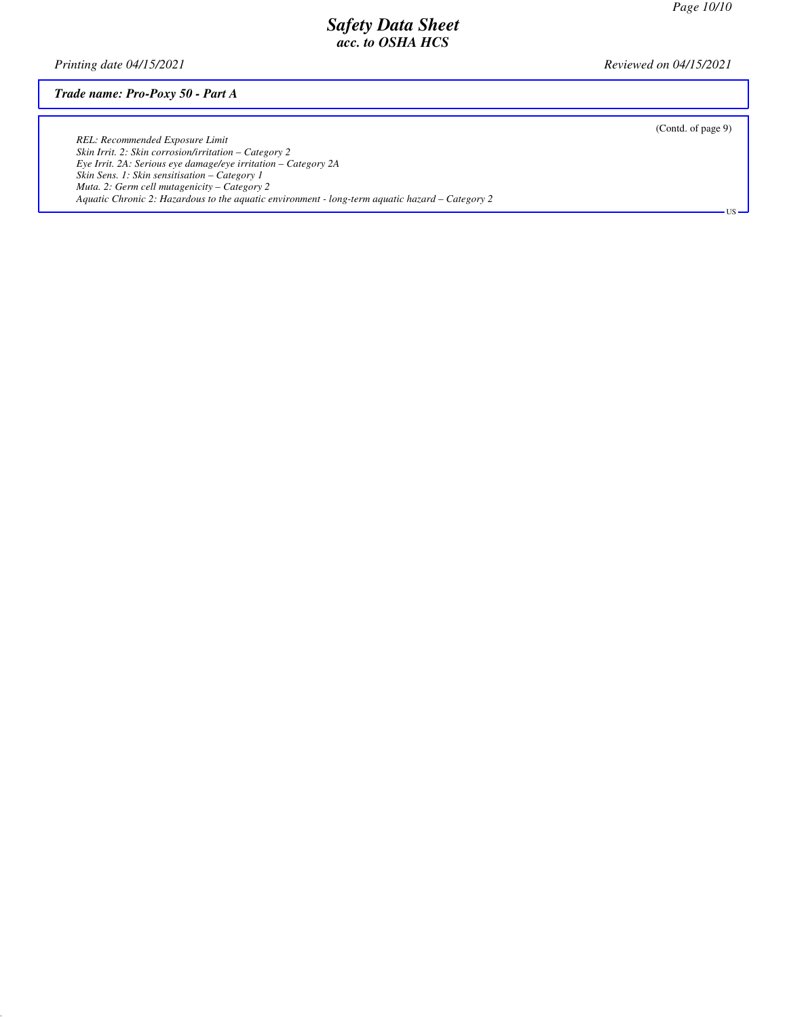*Printing date 04/15/2021 Reviewed on 04/15/2021*

#### *Trade name: Pro-Poxy 50 - Part A*

(Contd. of page 9)

US

*REL: Recommended Exposure Limit Skin Irrit. 2: Skin corrosion/irritation – Category 2 Eye Irrit. 2A: Serious eye damage/eye irritation – Category 2A Skin Sens. 1: Skin sensitisation – Category 1 Muta. 2: Germ cell mutagenicity – Category 2 Aquatic Chronic 2: Hazardous to the aquatic environment - long-term aquatic hazard – Category 2*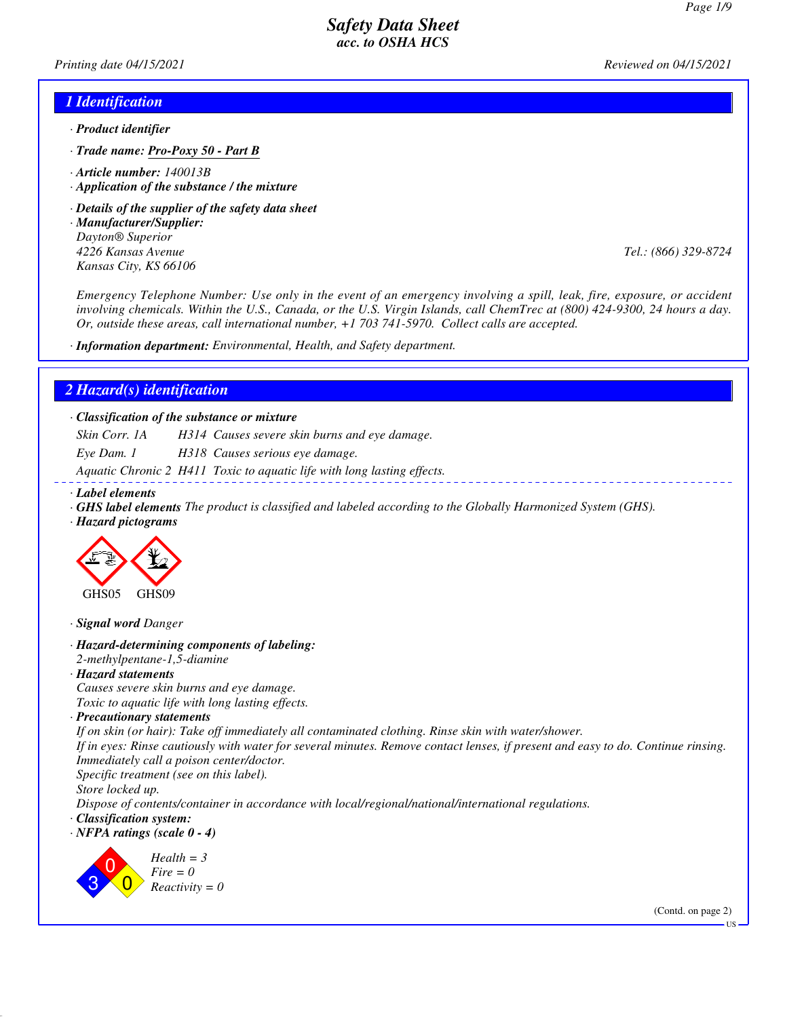*Printing date 04/15/2021 Reviewed on 04/15/2021*

#### *1 Identification*

- *· Product identifier*
- *· Trade name: Pro-Poxy 50 Part B*
- *· Article number: 140013B*
- *· Application of the substance / the mixture*
- *· Details of the supplier of the safety data sheet*
- *· Manufacturer/Supplier: Dayton® Superior 4226 Kansas Avenue Tel.: (866) 329-8724 Kansas City, KS 66106*

*Emergency Telephone Number: Use only in the event of an emergency involving a spill, leak, fire, exposure, or accident involving chemicals. Within the U.S., Canada, or the U.S. Virgin Islands, call ChemTrec at (800) 424-9300, 24 hours a day. Or, outside these areas, call international number, +1 703 741-5970. Collect calls are accepted.*

*· Information department: Environmental, Health, and Safety department.*

#### *2 Hazard(s) identification*

*· Classification of the substance or mixture*

*Skin Corr. 1A H314 Causes severe skin burns and eye damage.*

*Eye Dam. 1 H318 Causes serious eye damage.*

*Aquatic Chronic 2 H411 Toxic to aquatic life with long lasting effects.*

- *· Label elements*
- *· GHS label elements The product is classified and labeled according to the Globally Harmonized System (GHS).*
- *· Hazard pictograms*



*· Signal word Danger*

- *· Hazard-determining components of labeling:*
- *2-methylpentane-1,5-diamine*
- *· Hazard statements*

*Causes severe skin burns and eye damage.*

*Toxic to aquatic life with long lasting effects.*

*· Precautionary statements*

*If on skin (or hair): Take off immediately all contaminated clothing. Rinse skin with water/shower.*

*If in eyes: Rinse cautiously with water for several minutes. Remove contact lenses, if present and easy to do. Continue rinsing. Immediately call a poison center/doctor.*

*Specific treatment (see on this label).*

*Store locked up.*

*Dispose of contents/container in accordance with local/regional/national/international regulations.*

*· Classification system:*

*· NFPA ratings (scale 0 - 4)*



*Health = 3 Fire = 0 Reactivity = 0*

(Contd. on page 2)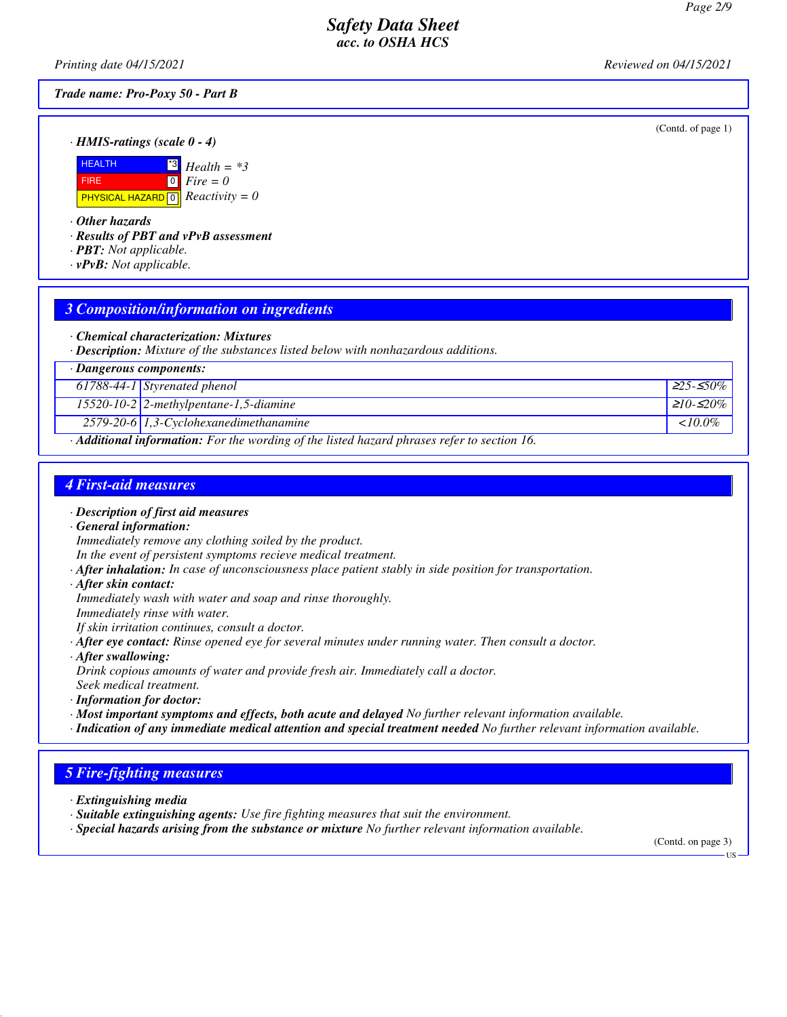(Contd. of page 1)

### *Safety Data Sheet acc. to OSHA HCS*

*Printing date 04/15/2021 Reviewed on 04/15/2021*

#### *Trade name: Pro-Poxy 50 - Part B*

*· HMIS-ratings (scale 0 - 4)*

| <b>HEALTH</b>                                            | $\frac{13}{13}$ Health = *3                          |
|----------------------------------------------------------|------------------------------------------------------|
| <b>FIRE</b>                                              | $\begin{bmatrix} 0 \\ \hline \end{bmatrix}$ Fire = 0 |
| <b>PHYSICAL HAZARD</b> $\boxed{0}$ <i>Reactivity</i> = 0 |                                                      |

*· Other hazards*

*· Results of PBT and vPvB assessment*

- *· PBT: Not applicable.*
- *· vPvB: Not applicable.*

#### *3 Composition/information on ingredients*

- *· Chemical characterization: Mixtures*
- *· Description: Mixture of the substances listed below with nonhazardous additions.*

|                                                                                                          | $\cdot$ Dangerous components:                |                  |  |
|----------------------------------------------------------------------------------------------------------|----------------------------------------------|------------------|--|
|                                                                                                          | 61788-44-1 Styrenated phenol                 | $\geq 25 - 50\%$ |  |
|                                                                                                          | $15520 - 10 - 2$ 2-methylpentane-1,5-diamine | $ 210 - 20\% $   |  |
|                                                                                                          | $2579-20-6$ 1,3-Cyclohexanedimethanamine     | $10.0\%$         |  |
| $\cdot$ <b>Additional information:</b> For the wording of the listed hazard phrases refer to section 16. |                                              |                  |  |

#### *4 First-aid measures*

- *· Description of first aid measures*
- *· General information: Immediately remove any clothing soiled by the product.*
- *In the event of persistent symptoms recieve medical treatment.*
- *· After inhalation: In case of unconsciousness place patient stably in side position for transportation.*
- *· After skin contact:*
- *Immediately wash with water and soap and rinse thoroughly.*
- *Immediately rinse with water.*
- *If skin irritation continues, consult a doctor.*
- *· After eye contact: Rinse opened eye for several minutes under running water. Then consult a doctor.*
- *· After swallowing:*

*Drink copious amounts of water and provide fresh air. Immediately call a doctor.*

*Seek medical treatment. · Information for doctor:*

- *· Most important symptoms and effects, both acute and delayed No further relevant information available.*
- *· Indication of any immediate medical attention and special treatment needed No further relevant information available.*

### *5 Fire-fighting measures*

*· Extinguishing media*

- *· Suitable extinguishing agents: Use fire fighting measures that suit the environment.*
- *· Special hazards arising from the substance or mixture No further relevant information available.*

(Contd. on page 3)

US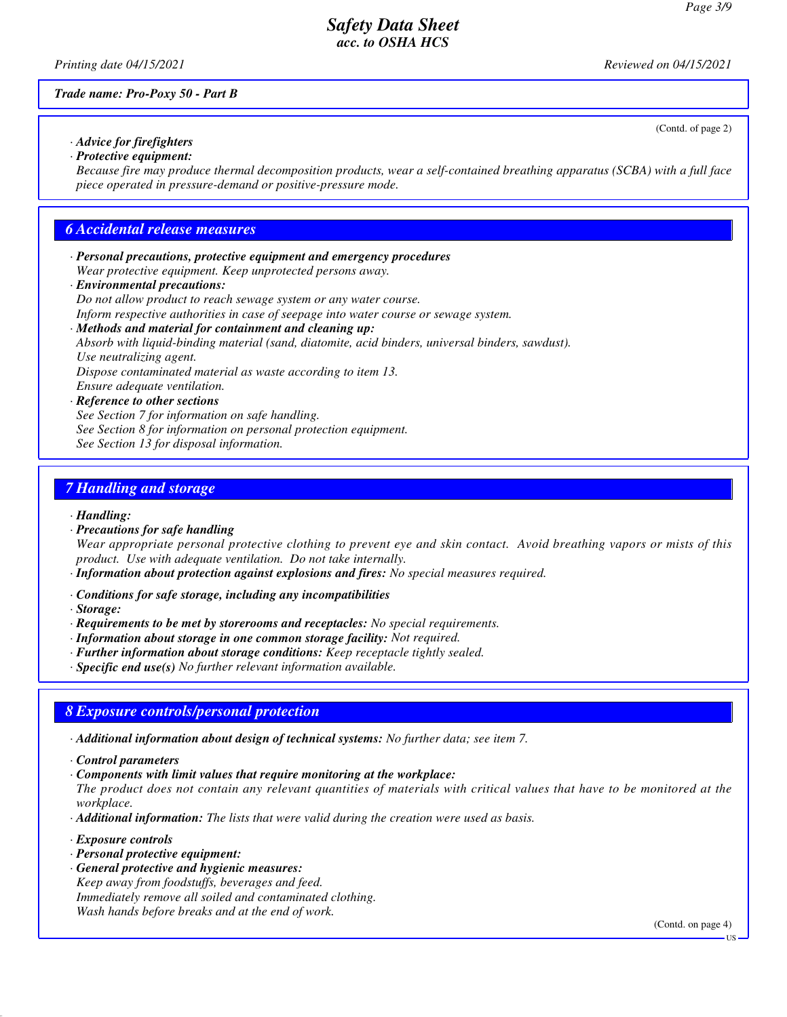(Contd. of page 2)

### *Safety Data Sheet acc. to OSHA HCS*

*Printing date 04/15/2021 Reviewed on 04/15/2021*

*Trade name: Pro-Poxy 50 - Part B*

*· Advice for firefighters · Protective equipment:*

*Because fire may produce thermal decomposition products, wear a self-contained breathing apparatus (SCBA) with a full face piece operated in pressure-demand or positive-pressure mode.*

#### *6 Accidental release measures*

*· Personal precautions, protective equipment and emergency procedures Wear protective equipment. Keep unprotected persons away.*

#### *· Environmental precautions:*

*Do not allow product to reach sewage system or any water course.*

*Inform respective authorities in case of seepage into water course or sewage system.*

#### *· Methods and material for containment and cleaning up:*

*Absorb with liquid-binding material (sand, diatomite, acid binders, universal binders, sawdust). Use neutralizing agent.*

*Dispose contaminated material as waste according to item 13.*

*Ensure adequate ventilation.*

#### *· Reference to other sections*

*See Section 7 for information on safe handling. See Section 8 for information on personal protection equipment. See Section 13 for disposal information.*

### *7 Handling and storage*

#### *· Handling:*

*· Precautions for safe handling*

*Wear appropriate personal protective clothing to prevent eye and skin contact. Avoid breathing vapors or mists of this product. Use with adequate ventilation. Do not take internally.*

- *· Information about protection against explosions and fires: No special measures required.*
- *· Conditions for safe storage, including any incompatibilities*
- *· Storage:*
- *· Requirements to be met by storerooms and receptacles: No special requirements.*
- *· Information about storage in one common storage facility: Not required.*
- *· Further information about storage conditions: Keep receptacle tightly sealed.*
- *· Specific end use(s) No further relevant information available.*

## *8 Exposure controls/personal protection*

*· Additional information about design of technical systems: No further data; see item 7.*

- *· Control parameters*
- *· Components with limit values that require monitoring at the workplace:*

*The product does not contain any relevant quantities of materials with critical values that have to be monitored at the workplace.*

- *· Additional information: The lists that were valid during the creation were used as basis.*
- *· Exposure controls*
- *· Personal protective equipment:*
- *· General protective and hygienic measures: Keep away from foodstuffs, beverages and feed. Immediately remove all soiled and contaminated clothing. Wash hands before breaks and at the end of work.*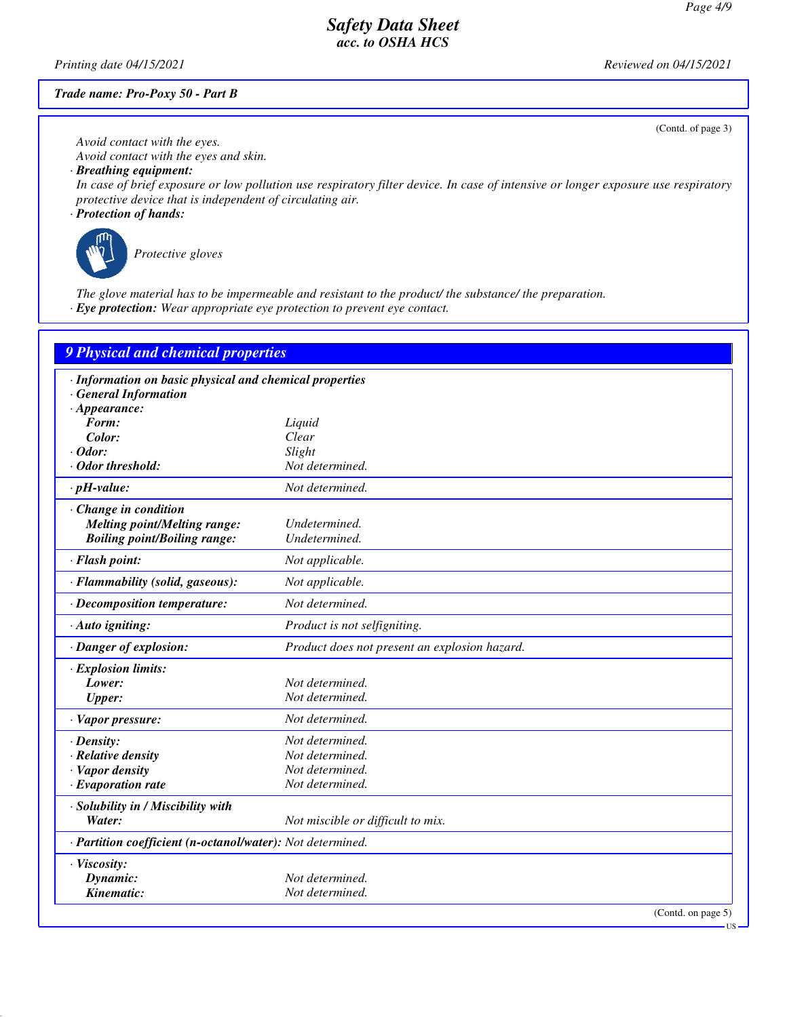*Printing date 04/15/2021 Reviewed on 04/15/2021*

#### *Trade name: Pro-Poxy 50 - Part B*

(Contd. of page 3)

US

*Avoid contact with the eyes. Avoid contact with the eyes and skin.*

*· Breathing equipment:*

*In case of brief exposure or low pollution use respiratory filter device. In case of intensive or longer exposure use respiratory protective device that is independent of circulating air.*

*· Protection of hands:*



*Protective gloves*

*The glove material has to be impermeable and resistant to the product/ the substance/ the preparation. · Eye protection: Wear appropriate eye protection to prevent eye contact.*

| 9 Physical and chemical properties                                                                           |                                               |
|--------------------------------------------------------------------------------------------------------------|-----------------------------------------------|
| · Information on basic physical and chemical properties<br><b>General Information</b><br>$\cdot$ Appearance: |                                               |
| Form:                                                                                                        |                                               |
|                                                                                                              | Liquid<br>Clear                               |
| Color:                                                                                                       |                                               |
| $\cdot$ Odor:                                                                                                | Slight                                        |
| Odor threshold:                                                                                              | Not determined.                               |
| $\cdot$ pH-value:                                                                                            | Not determined.                               |
| · Change in condition                                                                                        |                                               |
| <b>Melting point/Melting range:</b>                                                                          | Undetermined.                                 |
| <b>Boiling point/Boiling range:</b>                                                                          | Undetermined.                                 |
| · Flash point:                                                                                               | Not applicable.                               |
| · Flammability (solid, gaseous):                                                                             | Not applicable.                               |
| · Decomposition temperature:                                                                                 | Not determined.                               |
| · Auto igniting:                                                                                             | Product is not selfigniting.                  |
| · Danger of explosion:                                                                                       | Product does not present an explosion hazard. |
| · Explosion limits:                                                                                          |                                               |
| Lower:                                                                                                       | Not determined.                               |
| <b>Upper:</b>                                                                                                | Not determined.                               |
| $\cdot$ Vapor pressure:                                                                                      | Not determined.                               |
| $\cdot$ Density:                                                                                             | Not determined.                               |
| · Relative density                                                                                           | Not determined.                               |
| · Vapor density                                                                                              | Not determined.                               |
| $\cdot$ Evaporation rate                                                                                     | Not determined.                               |
|                                                                                                              |                                               |
| · Solubility in / Miscibility with                                                                           |                                               |
| Water:                                                                                                       | Not miscible or difficult to mix.             |
| · Partition coefficient (n-octanol/water): Not determined.                                                   |                                               |
| · Viscosity:                                                                                                 |                                               |
| Dynamic:                                                                                                     | Not determined.                               |
| Kinematic:                                                                                                   | Not determined.                               |
|                                                                                                              | (Contd. on page 5)                            |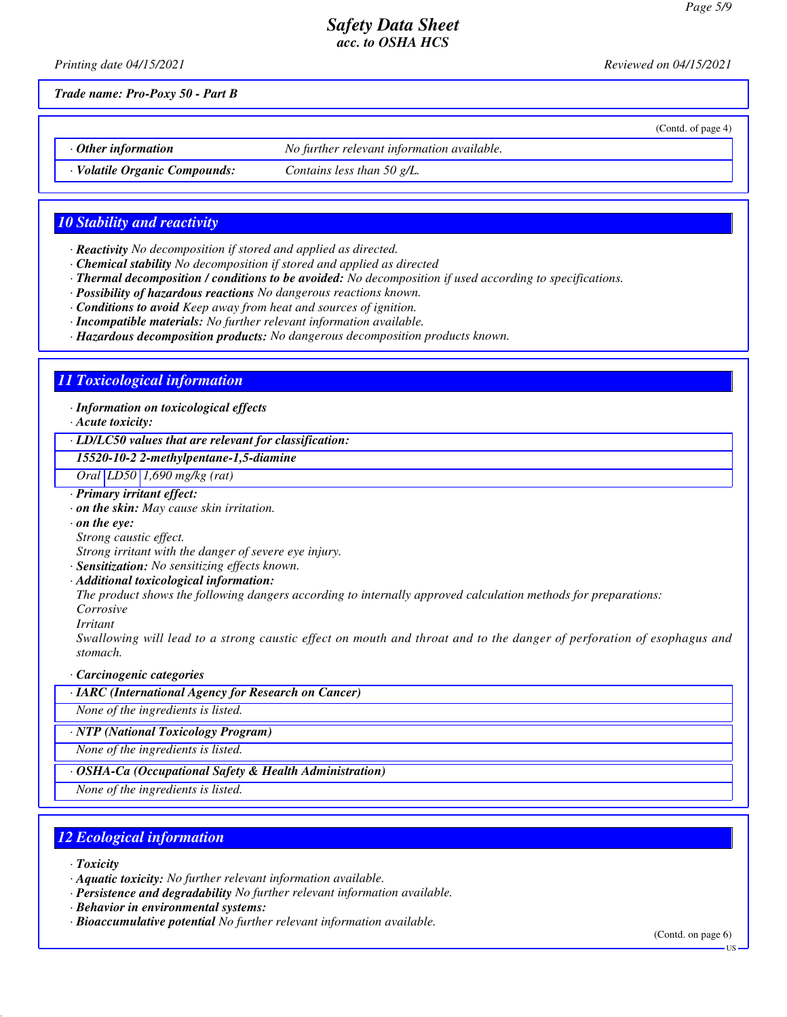*Printing date 04/15/2021 Reviewed on 04/15/2021*

(Contd. of page 4)

*Trade name: Pro-Poxy 50 - Part B*

*· Other information No further relevant information available.*

*· Volatile Organic Compounds: Contains less than 50 g/L.*

### *10 Stability and reactivity*

- *· Reactivity No decomposition if stored and applied as directed.*
- *· Chemical stability No decomposition if stored and applied as directed*
- *· Thermal decomposition / conditions to be avoided: No decomposition if used according to specifications.*
- *· Possibility of hazardous reactions No dangerous reactions known.*
- *· Conditions to avoid Keep away from heat and sources of ignition.*
- *· Incompatible materials: No further relevant information available.*
- *· Hazardous decomposition products: No dangerous decomposition products known.*

#### *11 Toxicological information*

*· Information on toxicological effects*

*· Acute toxicity:*

*· LD/LC50 values that are relevant for classification:*

*15520-10-2 2-methylpentane-1,5-diamine*

*Oral LD50 1,690 mg/kg (rat)*

- *· Primary irritant effect:*
- *· on the skin: May cause skin irritation.*
- *· on the eye:*
- *Strong caustic effect.*

*Strong irritant with the danger of severe eye injury.*

- *· Sensitization: No sensitizing effects known.*
- *· Additional toxicological information:*

*The product shows the following dangers according to internally approved calculation methods for preparations: Corrosive*

*Irritant*

*Swallowing will lead to a strong caustic effect on mouth and throat and to the danger of perforation of esophagus and stomach.*

*· Carcinogenic categories*

*· IARC (International Agency for Research on Cancer)*

*None of the ingredients is listed.*

*· NTP (National Toxicology Program)*

*None of the ingredients is listed.*

*· OSHA-Ca (Occupational Safety & Health Administration)*

*None of the ingredients is listed.*

## *12 Ecological information*

*· Toxicity*

- *· Aquatic toxicity: No further relevant information available.*
- *· Persistence and degradability No further relevant information available.*
- *· Behavior in environmental systems:*
- *· Bioaccumulative potential No further relevant information available.*

(Contd. on page 6)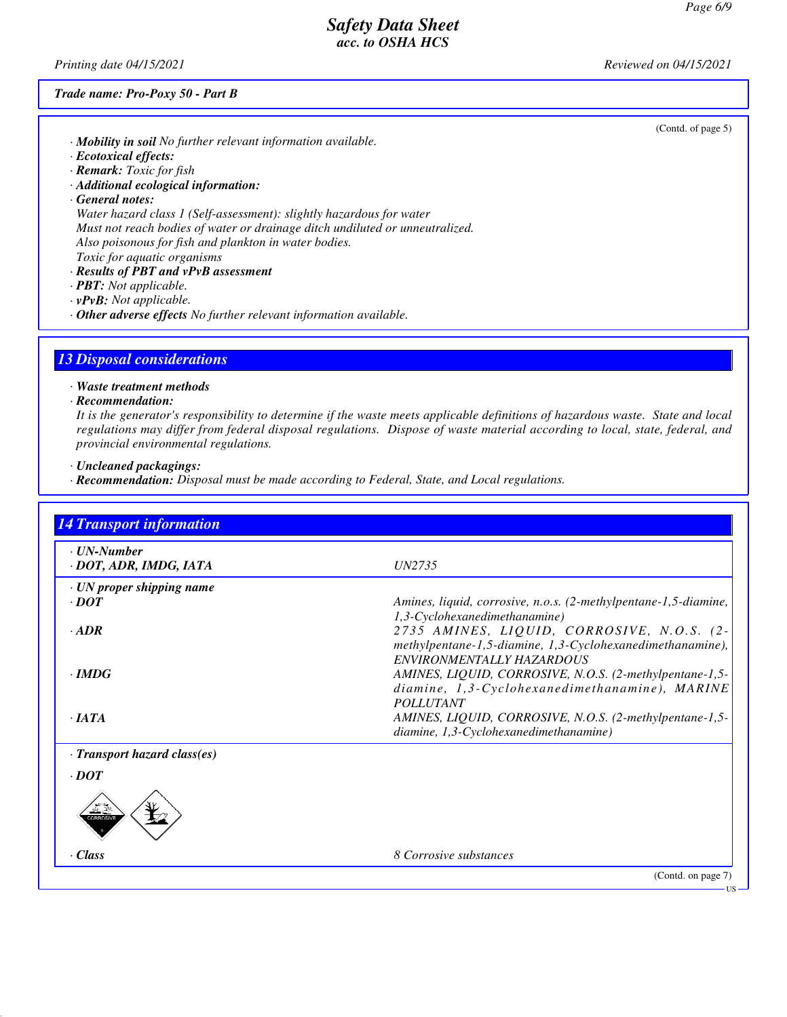(Contd. of page 5)

### *Safety Data Sheet acc. to OSHA HCS*

*Printing date 04/15/2021 Reviewed on 04/15/2021*

#### *Trade name: Pro-Poxy 50 - Part B*

*· Mobility in soil No further relevant information available.*

- *· Ecotoxical effects:*
- *· Remark: Toxic for fish*

*· Additional ecological information:*

*· General notes:*

*Water hazard class 1 (Self-assessment): slightly hazardous for water Must not reach bodies of water or drainage ditch undiluted or unneutralized. Also poisonous for fish and plankton in water bodies. Toxic for aquatic organisms*

- *· Results of PBT and vPvB assessment*
- *· PBT: Not applicable.*
- *· vPvB: Not applicable.*
- *· Other adverse effects No further relevant information available.*

#### *13 Disposal considerations*

*· Waste treatment methods*

#### *· Recommendation:*

*It is the generator's responsibility to determine if the waste meets applicable definitions of hazardous waste. State and local regulations may differ from federal disposal regulations. Dispose of waste material according to local, state, federal, and provincial environmental regulations.*

*· Uncleaned packagings:*

*· Recommendation: Disposal must be made according to Federal, State, and Local regulations.*

| <b>14 Transport information</b>                |                                                                                                                                      |
|------------------------------------------------|--------------------------------------------------------------------------------------------------------------------------------------|
| $\cdot$ UN-Number<br>· DOT, ADR, IMDG, IATA    | <i>UN2735</i>                                                                                                                        |
| $\cdot$ UN proper shipping name<br>$\cdot$ DOT | Amines, liquid, corrosive, n.o.s. (2-methylpentane-1,5-diamine,<br>1,3-Cyclohexanedimethanamine)                                     |
| $-ADR$                                         | 2735 AMINES, LIQUID, CORROSIVE, N.O.S. (2-<br>methylpentane-1,5-diamine, 1,3-Cyclohexanedimethanamine),<br>ENVIRONMENTALLY HAZARDOUS |
| $\cdot$ IMDG                                   | AMINES, LIQUID, CORROSIVE, N.O.S. (2-methylpentane-1,5-<br>diamine, 1,3-Cyclohexanedimethanamine), MARINE<br><b>POLLUTANT</b>        |
| $\cdot$ JATA                                   | AMINES, LIQUID, CORROSIVE, N.O.S. (2-methylpentane-1,5-<br>diamine, 1,3-Cyclohexanedimethanamine)                                    |
| $\cdot$ Transport hazard class(es)             |                                                                                                                                      |
| $\cdot$ DOT                                    |                                                                                                                                      |
| <b>XIRROSIV</b>                                |                                                                                                                                      |
| Class                                          | 8 Corrosive substances                                                                                                               |
|                                                | (Contd. on page 7)                                                                                                                   |
|                                                | - US                                                                                                                                 |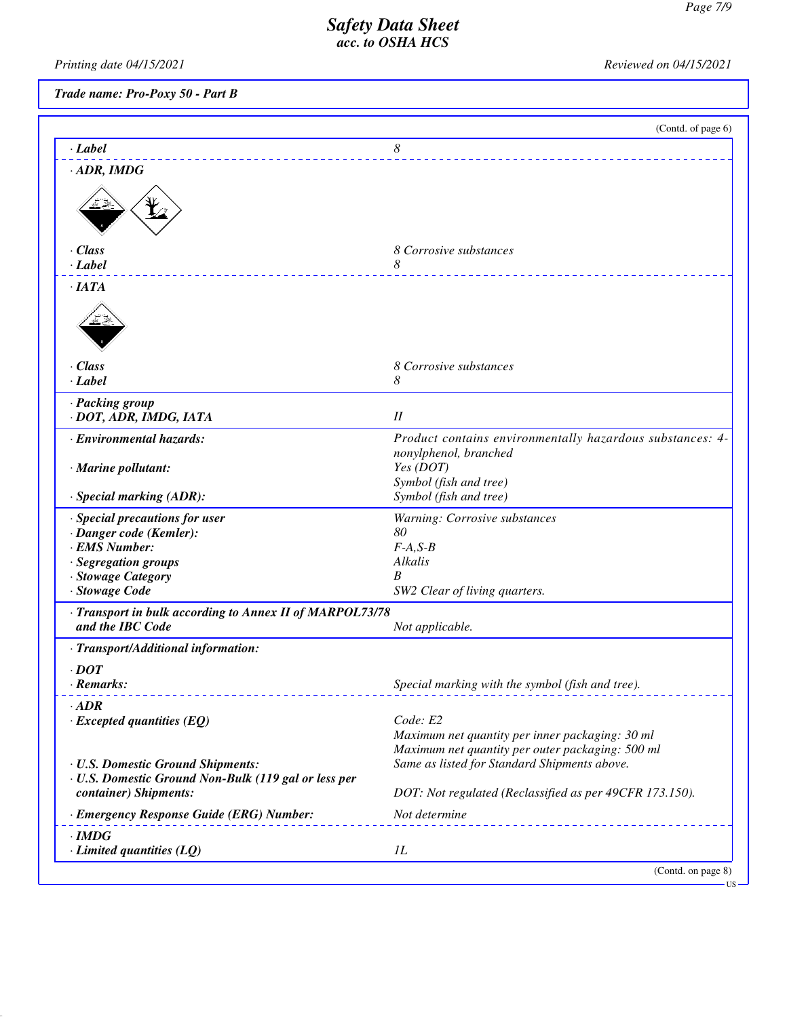*Printing date 04/15/2021 Reviewed on 04/15/2021*

| Trade name: Pro-Poxy 50 - Part B |  |  |  |
|----------------------------------|--|--|--|
|----------------------------------|--|--|--|

|                                                                                                                                            | (Contd. of page 6)                                                                                              |
|--------------------------------------------------------------------------------------------------------------------------------------------|-----------------------------------------------------------------------------------------------------------------|
| · Label                                                                                                                                    | 8                                                                                                               |
| $\cdot$ ADR, IMDG                                                                                                                          |                                                                                                                 |
|                                                                                                                                            |                                                                                                                 |
| · Class<br>$\cdot$ Label                                                                                                                   | 8 Corrosive substances<br>8                                                                                     |
| ·IATA                                                                                                                                      |                                                                                                                 |
| · Class<br>· Label                                                                                                                         | 8 Corrosive substances<br>8                                                                                     |
| · Packing group<br>· DOT, ADR, IMDG, IATA                                                                                                  | I                                                                                                               |
| · Environmental hazards:                                                                                                                   | Product contains environmentally hazardous substances: 4-                                                       |
| $\cdot$ Marine pollutant:                                                                                                                  | nonylphenol, branched<br>Yes (DOT)<br>Symbol (fish and tree)                                                    |
| · Special marking (ADR):                                                                                                                   | Symbol (fish and tree)                                                                                          |
| · Special precautions for user<br>· Danger code (Kemler):<br>· EMS Number:<br>· Segregation groups<br>· Stowage Category<br>· Stowage Code | Warning: Corrosive substances<br>80<br>$F-A, S-B$<br>Alkalis<br>B<br>SW2 Clear of living quarters.              |
| · Transport in bulk according to Annex II of MARPOL73/78<br>and the IBC Code                                                               | Not applicable.                                                                                                 |
| · Transport/Additional information:                                                                                                        |                                                                                                                 |
| $\cdot$ DOT<br>· Remarks:                                                                                                                  | Special marking with the symbol (fish and tree).                                                                |
| $\cdot$ ADR<br>$\cdot$ Excepted quantities (EQ)                                                                                            | Code: E2<br>Maximum net quantity per inner packaging: 30 ml<br>Maximum net quantity per outer packaging: 500 ml |
| · U.S. Domestic Ground Shipments:<br>· U.S. Domestic Ground Non-Bulk (119 gal or less per<br>container) Shipments:                         | Same as listed for Standard Shipments above.<br>DOT: Not regulated (Reclassified as per 49CFR 173.150).         |
| · Emergency Response Guide (ERG) Number:                                                                                                   | Not determine                                                                                                   |
| $\cdot$ IMDG<br>$\cdot$ Limited quantities (LQ)                                                                                            | 1L                                                                                                              |
|                                                                                                                                            | (Contd. on page 8)                                                                                              |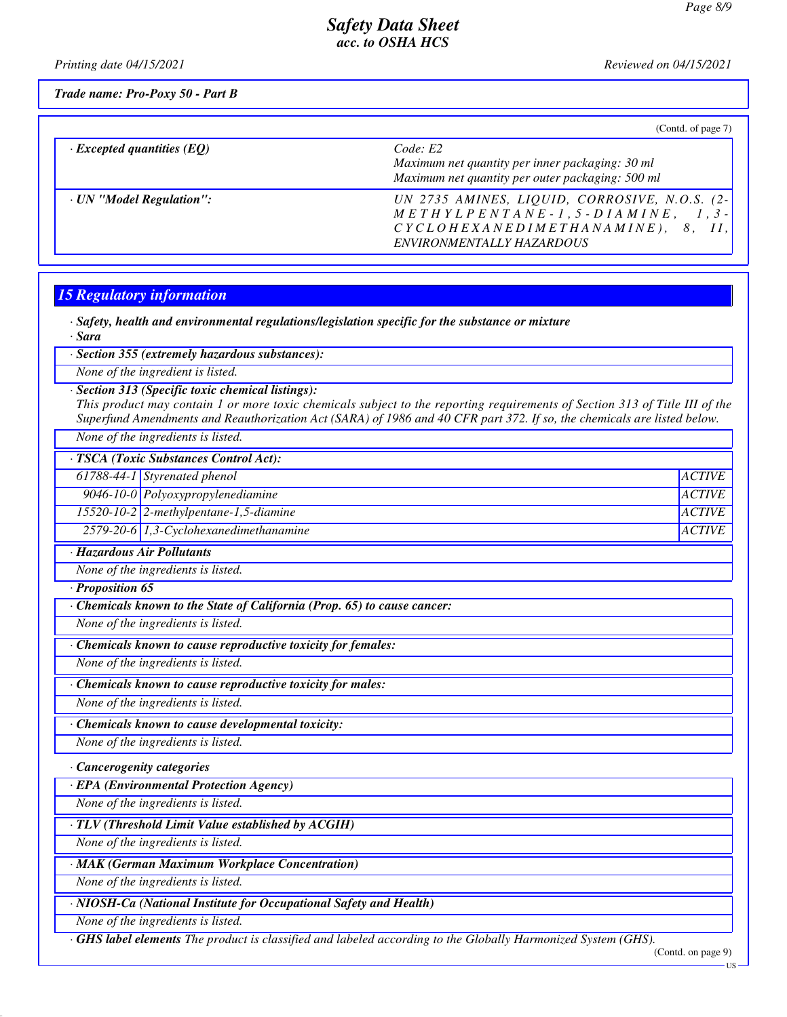*Printing date 04/15/2021 Reviewed on 04/15/2021*

*Trade name: Pro-Poxy 50 - Part B*

|                                  | (Cond. of page 7)                                                                                                                                                                                                                                                       |
|----------------------------------|-------------------------------------------------------------------------------------------------------------------------------------------------------------------------------------------------------------------------------------------------------------------------|
| $\cdot$ Excepted quantities (EQ) | Code: E2<br>Maximum net quantity per inner packaging: 30 ml<br>Maximum net quantity per outer packaging: 500 ml                                                                                                                                                         |
| · UN "Model Regulation":         | UN 2735 AMINES, LIQUID, CORROSIVE, N.O.S. (2-)<br>$\begin{array}{cccccccccc} M & E & T & H & Y & L & P & E & N & T & A & N & E & - & 1 & , & 5 & - & D & I & A & M & I & N & E \\ \end{array},$<br>$1.3 -$<br>$CYCLOHEXANEDIMETHANAMINE$ ,<br>ENVIRONMENTALLY HAZARDOUS |

#### *15 Regulatory information*

*· Safety, health and environmental regulations/legislation specific for the substance or mixture · Sara*

*· Section 355 (extremely hazardous substances):*

*None of the ingredient is listed.*

*· Section 313 (Specific toxic chemical listings):*

*This product may contain 1 or more toxic chemicals subject to the reporting requirements of Section 313 of Title III of the Superfund Amendments and Reauthorization Act (SARA) of 1986 and 40 CFR part 372. If so, the chemicals are listed below.*

*None of the ingredients is listed.*

| · TSCA (Toxic Substances Control Act): |                                              |               |
|----------------------------------------|----------------------------------------------|---------------|
|                                        | 61788-44-1 Styrenated phenol                 | <i>ACTIVE</i> |
|                                        | 9046-10-0 Polyoxypropylenediamine            | ACTIVE        |
|                                        | $15520 - 10 - 2$ 2-methylpentane-1,5-diamine | ACTIVE        |
|                                        | 2579-20-6 1,3-Cyclohexanedimethanamine       | <i>ACTIVE</i> |

*· Hazardous Air Pollutants*

*None of the ingredients is listed.*

*· Proposition 65*

*· Chemicals known to the State of California (Prop. 65) to cause cancer:*

*None of the ingredients is listed.*

*· Chemicals known to cause reproductive toxicity for females:*

*None of the ingredients is listed.*

*· Chemicals known to cause reproductive toxicity for males:*

*None of the ingredients is listed.*

*· Chemicals known to cause developmental toxicity:*

*None of the ingredients is listed.*

*· Cancerogenity categories*

*· EPA (Environmental Protection Agency)*

*None of the ingredients is listed.*

*· TLV (Threshold Limit Value established by ACGIH)*

*None of the ingredients is listed.*

*· MAK (German Maximum Workplace Concentration)*

*None of the ingredients is listed.*

*· NIOSH-Ca (National Institute for Occupational Safety and Health)*

*None of the ingredients is listed.*

*· GHS label elements The product is classified and labeled according to the Globally Harmonized System (GHS).*

(Contd. on page 9)